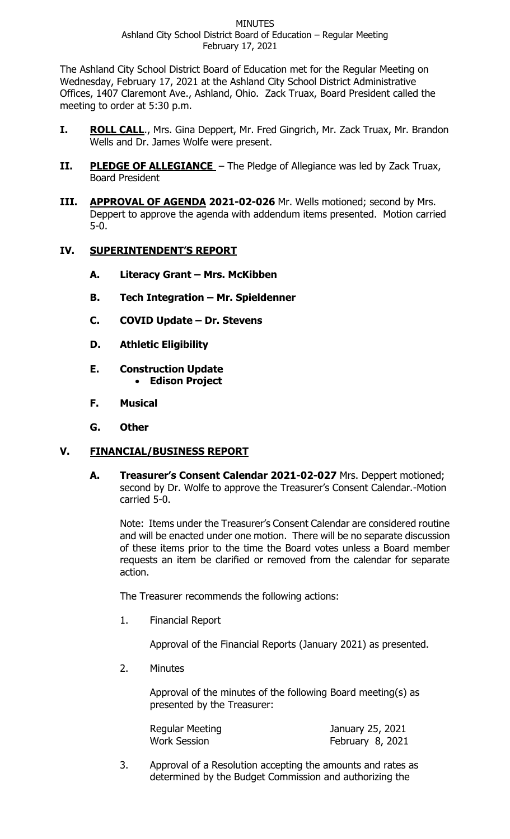The Ashland City School District Board of Education met for the Regular Meeting on Wednesday, February 17, 2021 at the Ashland City School District Administrative Offices, 1407 Claremont Ave., Ashland, Ohio. Zack Truax, Board President called the meeting to order at 5:30 p.m.

- **I. ROLL CALL**., Mrs. Gina Deppert, Mr. Fred Gingrich, Mr. Zack Truax, Mr. Brandon Wells and Dr. James Wolfe were present.
- **II.** PLEDGE OF ALLEGIANCE The Pledge of Allegiance was led by Zack Truax, Board President
- **III. APPROVAL OF AGENDA 2021-02-026** Mr. Wells motioned; second by Mrs. Deppert to approve the agenda with addendum items presented. Motion carried 5-0.

## **IV. SUPERINTENDENT'S REPORT**

- **A. Literacy Grant – Mrs. McKibben**
- **B. Tech Integration – Mr. Spieldenner**
- **C. COVID Update – Dr. Stevens**
- **D. Athletic Eligibility**
- **E. Construction Update** • **Edison Project**
- **F. Musical**
- **G. Other**

# **V. FINANCIAL/BUSINESS REPORT**

**A. Treasurer's Consent Calendar 2021-02-027** Mrs. Deppert motioned; second by Dr. Wolfe to approve the Treasurer's Consent Calendar.-Motion carried 5-0.

Note: Items under the Treasurer's Consent Calendar are considered routine and will be enacted under one motion. There will be no separate discussion of these items prior to the time the Board votes unless a Board member requests an item be clarified or removed from the calendar for separate action.

The Treasurer recommends the following actions:

1. Financial Report

Approval of the Financial Reports (January 2021) as presented.

2. Minutes

Approval of the minutes of the following Board meeting(s) as presented by the Treasurer:

| Regular Meeting | January 25, 2021 |
|-----------------|------------------|
| Work Session    | February 8, 2021 |

3. Approval of a Resolution accepting the amounts and rates as determined by the Budget Commission and authorizing the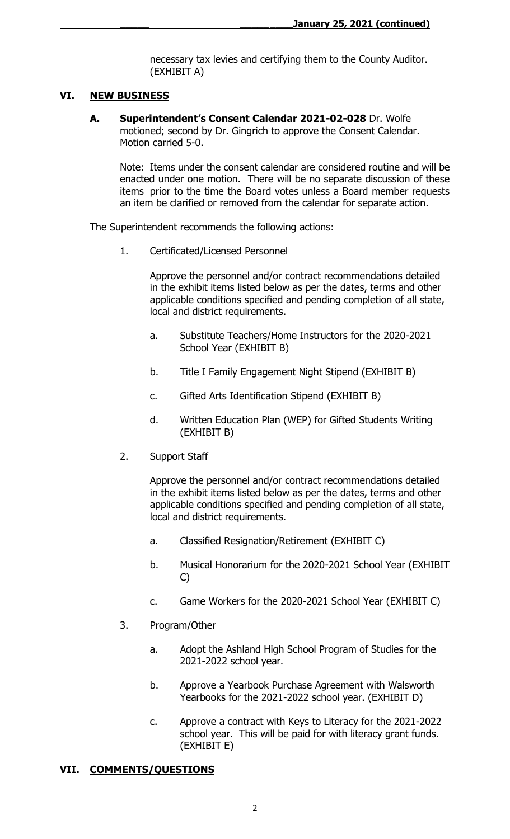necessary tax levies and certifying them to the County Auditor. (EXHIBIT A)

## **VI. NEW BUSINESS**

**A. Superintendent's Consent Calendar 2021-02-028** Dr. Wolfe motioned; second by Dr. Gingrich to approve the Consent Calendar. Motion carried 5-0.

Note: Items under the consent calendar are considered routine and will be enacted under one motion. There will be no separate discussion of these items prior to the time the Board votes unless a Board member requests an item be clarified or removed from the calendar for separate action.

The Superintendent recommends the following actions:

1. Certificated/Licensed Personnel

Approve the personnel and/or contract recommendations detailed in the exhibit items listed below as per the dates, terms and other applicable conditions specified and pending completion of all state, local and district requirements.

- a. Substitute Teachers/Home Instructors for the 2020-2021 School Year (EXHIBIT B)
- b. Title I Family Engagement Night Stipend (EXHIBIT B)
- c. Gifted Arts Identification Stipend (EXHIBIT B)
- d. Written Education Plan (WEP) for Gifted Students Writing (EXHIBIT B)
- 2. Support Staff

Approve the personnel and/or contract recommendations detailed in the exhibit items listed below as per the dates, terms and other applicable conditions specified and pending completion of all state, local and district requirements.

- a. Classified Resignation/Retirement (EXHIBIT C)
- b. Musical Honorarium for the 2020-2021 School Year (EXHIBIT C)
- c. Game Workers for the 2020-2021 School Year (EXHIBIT C)
- 3. Program/Other
	- a. Adopt the Ashland High School Program of Studies for the 2021-2022 school year.
	- b. Approve a Yearbook Purchase Agreement with Walsworth Yearbooks for the 2021-2022 school year. (EXHIBIT D)
	- c. Approve a contract with Keys to Literacy for the 2021-2022 school year. This will be paid for with literacy grant funds. (EXHIBIT E)

# **VII. COMMENTS/QUESTIONS**